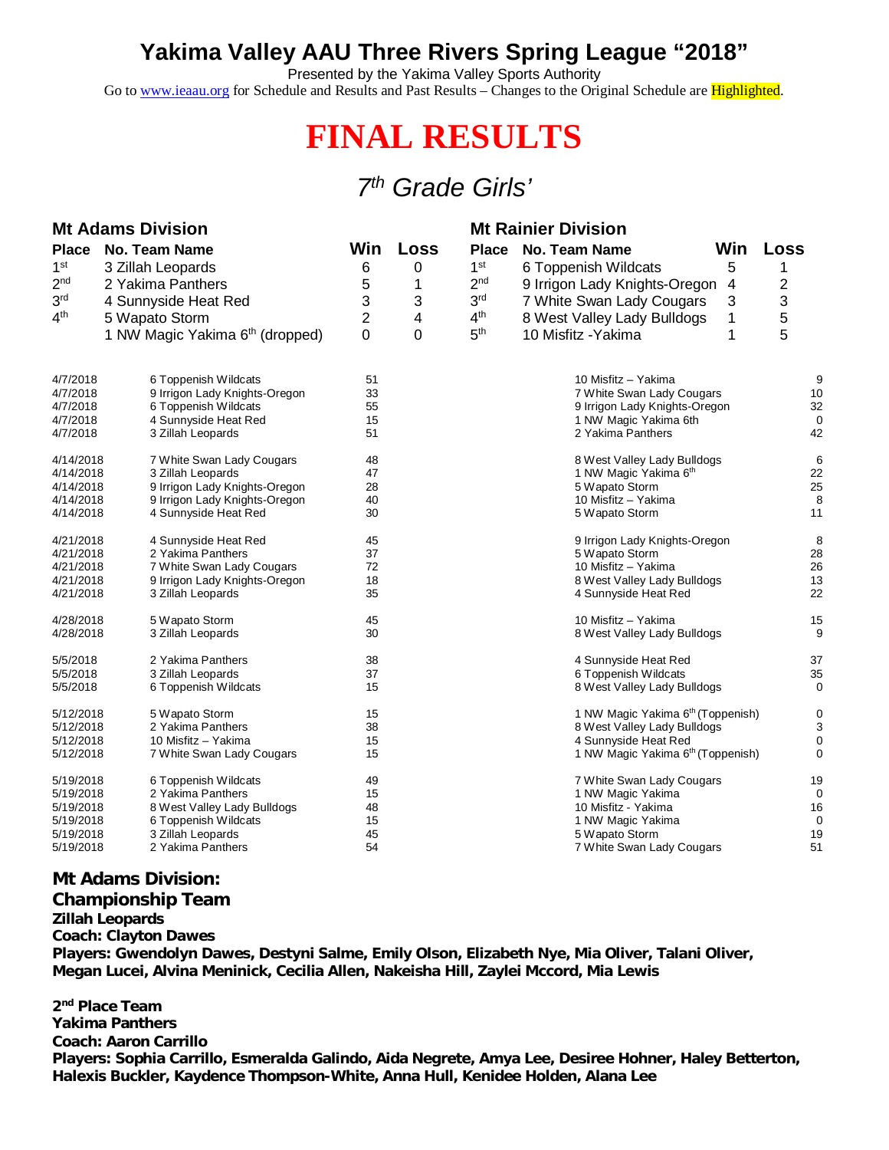## **Yakima Valley AAU Three Rivers Spring League "2018"**

Presented by the Yakima Valley Sports Authority

Go to [www.ieaau.org](http://www.ieaau.org) for Schedule and Results and Past Results – Changes to the Original Schedule are Highlighted.

# **FINAL RESULTS**

### *7 th Grade Girls'*

| <b>Mt Adams Division</b> |                                             |                |      | <b>Mt Rainier Division</b> |                                               |                |
|--------------------------|---------------------------------------------|----------------|------|----------------------------|-----------------------------------------------|----------------|
| <b>Place</b>             | <b>No. Team Name</b>                        | <b>Win</b>     | Loss | <b>Place</b>               | <b>No. Team Name</b>                          | Win Loss       |
| 1 <sup>st</sup>          | 3 Zillah Leopards                           | 6              | 0    | 1 <sup>st</sup>            | 6 Toppenish Wildcats<br>5                     | 1              |
| 2 <sup>nd</sup>          | 2 Yakima Panthers                           | 5              | 1    | 2 <sub>nd</sub>            | 9 Irrigon Lady Knights-Oregon<br>4            | $\overline{c}$ |
| 3 <sup>rd</sup>          | 4 Sunnyside Heat Red                        | 3              | 3    | 3 <sup>rd</sup>            | 7 White Swan Lady Cougars<br>3                | 3              |
| 4 <sup>th</sup>          | 5 Wapato Storm                              | $\overline{2}$ | 4    | 4 <sup>th</sup>            | 1<br>8 West Valley Lady Bulldogs              | 5              |
|                          | 1 NW Magic Yakima 6 <sup>th</sup> (dropped) | 0              | 0    | 5 <sup>th</sup>            | 1<br>10 Misfitz - Yakima                      | 5              |
|                          |                                             |                |      |                            |                                               |                |
| 4/7/2018                 | 6 Toppenish Wildcats                        | 51             |      |                            | 10 Misfitz - Yakima                           | 9              |
| 4/7/2018                 | 9 Irrigon Lady Knights-Oregon               | 33             |      |                            | 7 White Swan Lady Cougars                     | 10             |
| 4/7/2018                 | 6 Toppenish Wildcats                        | 55             |      |                            | 9 Irrigon Lady Knights-Oregon                 | 32             |
| 4/7/2018                 | 4 Sunnyside Heat Red                        | 15             |      |                            | 1 NW Magic Yakima 6th                         | 0              |
| 4/7/2018                 | 3 Zillah Leopards                           | 51             |      |                            | 2 Yakima Panthers                             | 42             |
| 4/14/2018                | 7 White Swan Lady Cougars                   | 48             |      |                            | 8 West Valley Lady Bulldogs                   | 6              |
| 4/14/2018                | 3 Zillah Leopards                           | 47             |      |                            | 1 NW Magic Yakima 6 <sup>th</sup>             | 22             |
| 4/14/2018                | 9 Irrigon Lady Knights-Oregon               | 28             |      |                            | 5 Wapato Storm                                | 25             |
| 4/14/2018                | 9 Irrigon Lady Knights-Oregon               | 40             |      |                            | 10 Misfitz - Yakima                           | 8              |
| 4/14/2018                | 4 Sunnyside Heat Red                        | 30             |      |                            | 5 Wapato Storm                                | 11             |
| 4/21/2018                | 4 Sunnyside Heat Red                        | 45             |      |                            | 9 Irrigon Lady Knights-Oregon                 | 8              |
| 4/21/2018                | 2 Yakima Panthers                           | 37             |      |                            | 5 Wapato Storm                                | 28             |
| 4/21/2018                | 7 White Swan Lady Cougars                   | 72             |      |                            | 10 Misfitz - Yakima                           | 26             |
| 4/21/2018                | 9 Irrigon Lady Knights-Oregon               | 18<br>35       |      |                            | 8 West Valley Lady Bulldogs                   | 13<br>22       |
| 4/21/2018                | 3 Zillah Leopards                           |                |      |                            | 4 Sunnyside Heat Red                          |                |
| 4/28/2018                | 5 Wapato Storm                              | 45             |      |                            | 10 Misfitz - Yakima                           | 15             |
| 4/28/2018                | 3 Zillah Leopards                           | 30             |      |                            | 8 West Valley Lady Bulldogs                   | 9              |
| 5/5/2018                 | 2 Yakima Panthers                           | 38             |      |                            | 4 Sunnyside Heat Red                          | 37             |
| 5/5/2018                 | 3 Zillah Leopards                           | 37             |      |                            | 6 Toppenish Wildcats                          | 35             |
| 5/5/2018                 | 6 Toppenish Wildcats                        | 15             |      |                            | 8 West Valley Lady Bulldogs                   | 0              |
| 5/12/2018                | 5 Wapato Storm                              | 15             |      |                            | 1 NW Magic Yakima 6 <sup>th</sup> (Toppenish) | 0              |
| 5/12/2018                | 2 Yakima Panthers                           | 38             |      |                            | 8 West Valley Lady Bulldogs                   | 3              |
| 5/12/2018                | 10 Misfitz - Yakima                         | 15             |      |                            | 4 Sunnyside Heat Red                          | $\mathbf 0$    |
| 5/12/2018                | 7 White Swan Lady Cougars                   | 15             |      |                            | 1 NW Magic Yakima 6 <sup>th</sup> (Toppenish) | 0              |
| 5/19/2018                | 6 Toppenish Wildcats                        | 49             |      |                            | 7 White Swan Lady Cougars                     | 19             |
| 5/19/2018                | 2 Yakima Panthers                           | 15             |      |                            | 1 NW Magic Yakima                             | 0              |
| 5/19/2018                | 8 West Valley Lady Bulldogs                 | 48             |      |                            | 10 Misfitz - Yakima                           | 16             |
| 5/19/2018<br>5/19/2018   | 6 Toppenish Wildcats<br>3 Zillah Leopards   | 15<br>45       |      |                            | 1 NW Magic Yakima<br>5 Wapato Storm           | 0<br>19        |
| 5/19/2018                | 2 Yakima Panthers                           | 54             |      |                            | 7 White Swan Lady Cougars                     | 51             |
|                          |                                             |                |      |                            |                                               |                |

#### **Mt Adams Division:**

**Championship Team Zillah Leopards Coach: Clayton Dawes Players: Gwendolyn Dawes, Destyni Salme, Emily Olson, Elizabeth Nye, Mia Oliver, Talani Oliver, Megan Lucei, Alvina Meninick, Cecilia Allen, Nakeisha Hill, Zaylei Mccord, Mia Lewis**

**2 nd Place Team Yakima Panthers Coach: Aaron Carrillo Players: Sophia Carrillo, Esmeralda Galindo, Aida Negrete, Amya Lee, Desiree Hohner, Haley Betterton, Halexis Buckler, Kaydence Thompson-White, Anna Hull, Kenidee Holden, Alana Lee**